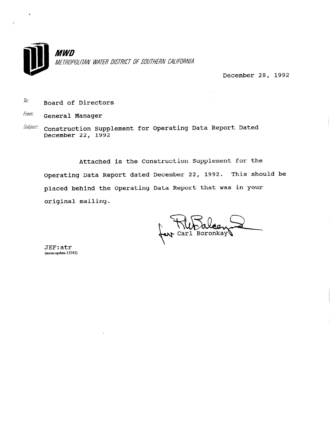

December 28, 1992

 $\hbar$ Board of Directors

From: General Manager

Construction Supplement for Operating Data Report Dated Subject: December 22, 1992

Attached is the Construction Supplement for the Operating Data Report dated December 22, 1992. This should be placed behind the Operating Data Report that was in your original mailing.

Carl Boronkay

JEF:atr (mem:opdata-12282)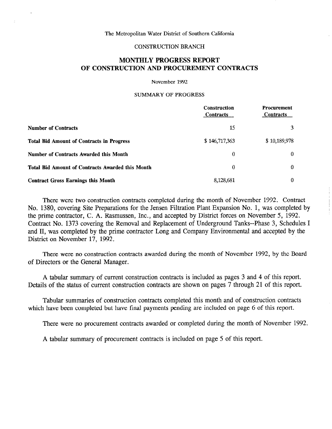### CONSTRUCTION BRANCH

# MONTHLY PROGRESS REPORT OF CONSTRUCTION AND PROCUREMENT CONTRACTS

#### November 1992

### SUMMARY OF PROGRESS

|                                                         | Construction<br><b>Contracts</b> | <b>Procurement</b><br><b>Contracts</b> |
|---------------------------------------------------------|----------------------------------|----------------------------------------|
| <b>Number of Contracts</b>                              | 15                               | 3                                      |
| <b>Total Bid Amount of Contracts in Progress</b>        | \$146,717,363                    | \$10,189,978                           |
| <b>Number of Contracts Awarded this Month</b>           | 0                                | $\theta$                               |
| <b>Total Bid Amount of Contracts Awarded this Month</b> | $\theta$                         | $\Omega$                               |
| <b>Contract Gross Earnings this Month</b>               | 8,128,681                        | $\theta$                               |

There were two construction contracts completed during the month of November 1992. Contract No. 1380, covering Site Preparations for the Jensen Filtration Plant Expansion No. 1, was completed by the prime contractor, C. A. Rasmussen, Inc., and accepted by District forces on November 5, 1992. Contract No. 1373 covering the Removal and Replacement of Underground Tanks--Phase 3, Schedules I and II, was completed by the prime contractor Long and Company Environmental and accepted by the District on November 17, 1992.

There were no construction contracts awarded during the month of November 1992, by the Board of Directors or the General Manager.

A tabular summary of current construction contracts is included as pages 3 and 4 of this report. Details of the status of current construction contracts are shown on pages 7 through 21 of this report.

Tabular summaries of construction contracts completed this month and of construction contracts which have been completed but have final payments pending are included on page 6 of this report.

There were no procurement contracts awarded or completed during the month of November 1992.

A tabular summary of procurement contracts is included on page 5 of this report.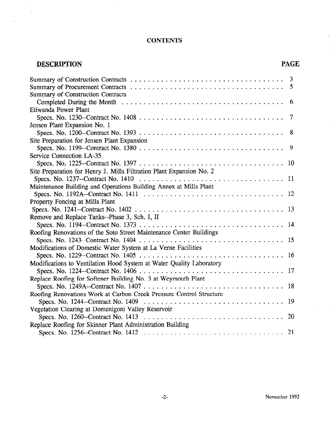# **CONTENTS**

# DESCRIPTION PAGE

 $\sim$ 

 $\pm$ 

 $\mathbf{r}$ 

|                                                                                                                                    | 5      |
|------------------------------------------------------------------------------------------------------------------------------------|--------|
| <b>Summary of Construction Contracts</b>                                                                                           | 6      |
| Etiwanda Power Plant                                                                                                               |        |
|                                                                                                                                    | $\tau$ |
| Jensen Plant Expansion No. 1                                                                                                       |        |
|                                                                                                                                    | 8      |
| Site Preparation for Jensen Plant Expansion                                                                                        |        |
|                                                                                                                                    | 9      |
| Service Connection LA-35                                                                                                           |        |
|                                                                                                                                    |        |
| Site Preparation for Henry J. Mills Filtration Plant Expansion No. 2                                                               |        |
| Specs. No. 1237--Contract No. 1410 $\ldots \ldots \ldots \ldots \ldots \ldots \ldots \ldots \ldots \ldots \ldots \ldots \ldots 11$ |        |
| Maintenance Building and Operations Building Annex at Mills Plant                                                                  |        |
|                                                                                                                                    |        |
| Property Fencing at Mills Plant                                                                                                    |        |
|                                                                                                                                    | 13     |
| Remove and Replace Tanks--Phase 3, Sch. I, II                                                                                      |        |
|                                                                                                                                    |        |
| Roofing Renovations of the Soto Street Maintenance Center Buildings                                                                |        |
|                                                                                                                                    |        |
| Modifications of Domestic Water System at La Verne Facilities                                                                      |        |
|                                                                                                                                    |        |
| Modifications to Ventilation Hood System at Water Quality Laboratory                                                               |        |
|                                                                                                                                    |        |
| Replace Roofing for Softener Building No. 3 at Weymouth Plant                                                                      |        |
|                                                                                                                                    |        |
| Roofing Renovations Work at Carbon Creek Pressure Control Structure                                                                |        |
| Specs. No. 1244–Contract No. 1409 $\ldots \ldots \ldots \ldots \ldots \ldots \ldots \ldots \ldots \ldots \ldots$                   | 19     |
| Vegetation Clearing at Domenigoni Valley Reservoir                                                                                 |        |
|                                                                                                                                    |        |
| Replace Roofing for Skinner Plant Administration Building                                                                          |        |
|                                                                                                                                    |        |

l.

 $\sim$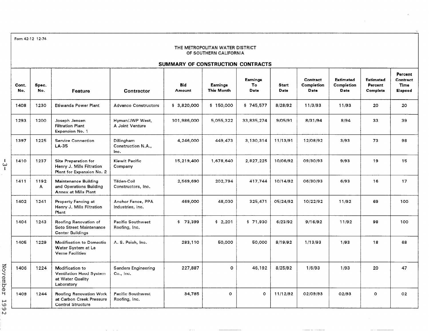Form 42-12 12-74

#### THE METROPOLITAN WATER DISTRICT OF SOUTHERN CALIFORNIA

## SUMMARY OF CONSTRUCTION CONTRACTS

|            | Cont.<br>No. | Spec.<br>No. | Feature                                                                                | <b>Contractor</b>                         | <b>Bid</b><br><b>Amount</b> | <b>Earnings</b><br>This Month | <b>Earnings</b><br>To<br>Date | <b>Start</b><br>Date | Contract<br>Completion<br>Date | Estimated<br><b>Completion</b><br>Date | <b>Estimated</b><br>Percent<br>Complete | Percent<br>Contract<br>Time<br>Elapsed |
|------------|--------------|--------------|----------------------------------------------------------------------------------------|-------------------------------------------|-----------------------------|-------------------------------|-------------------------------|----------------------|--------------------------------|----------------------------------------|-----------------------------------------|----------------------------------------|
|            | 1408         | 1230         | Etiwanda Power Plant                                                                   | <b>Advanco Constructors</b>               | \$3,820,000                 | \$150,000                     | \$745,577                     | 8/28/92              | 11/3/93                        | 11/93                                  | 20                                      | 20                                     |
|            | 1293         | 1200         | Joseph Jensen<br><b>Filtration Plant</b><br>Expansion No. 1                            | Hyman/JWP West,<br>A Joint Venture        | 101,986,000                 | 5,055,322                     | 33,835,274                    | 9/05/91              | 8/31/94                        | 8/94                                   | 33                                      | 39                                     |
|            | 1397         | 1225         | <b>Service Connection</b><br>$LA-35$                                                   | Dillingham<br>Construction N.A.,<br>Inc.  | 4,246,000                   | 449,473                       | 3,130,314                     | 11/13/91             | 12/08/92                       | 3/93                                   | 73                                      | 98                                     |
| ا<br>يا    | 1410         | 1237         | Site Preparation for<br>Henry J. Mills Filtration<br>Plant for Expansion No. 2         | Kiewit Pacific<br>Company                 | 15,219,400                  | 1,678,640                     | 2,827,225                     | 10/06/92             | 09/30/93                       | 9/93                                   | 19                                      | 15                                     |
|            | 1411         | 1192<br>A    | Maintenance Building<br>and Operations Building<br><b>Annex at Mills Plant</b>         | Tilden-Coil<br>Constructors, Inc.         | 2,569,690                   | 202,794                       | 417,744                       | 10/14/92             | 06/30/93                       | 6/93                                   | 16                                      | 17                                     |
|            | 1402         | 1241         | <b>Property Fencing at</b><br>Henry J. Mills Filtration<br>Plant                       | Anchor Fence, PPA<br>Industries, Inc.     | 469,000                     | 48,030                        | 325.471                       | 05/24/92             | 10/22/92                       | 11/92                                  | 69                                      | 100                                    |
|            | 1404         | 1243         | Roofing Renovation of<br>Soto Street Maintenance<br>Center Buildings                   | <b>Pacific Southwest</b><br>Roofing, Inc. | \$73,399                    | \$2,201                       | \$71,930                      | 6/23/92              | 9/16/92                        | 11/92                                  | 98                                      | 100                                    |
|            | 1405         | 1229         | Modification to Domestic<br>Water System at La<br><b>Verne Facilities</b>              | A. S. Peich, Inc.                         | 283,110                     | 50,000                        | 50,000                        | 8/19/92              | 1/13/93                        | 1/93                                   | 18                                      | 68                                     |
| November   | 1406         | 1224         | Modification to<br><b>Ventilation Hood System</b><br>at Water Quality<br>Laboratory    | <b>Sanders Engineering</b><br>Co., Inc.   | 227,887                     | $\circ$                       | 46,192                        | 8/25/92              | 1/6/93                         | 1/93                                   | 20                                      | 47                                     |
| لمسيا<br>O | 1409         | 1244         | <b>Roofing Renovation Work</b><br>at Carbon Creek Pressure<br><b>Control Structure</b> | <b>Pacific Southwest</b><br>Roofing, Inc. | 34,785                      | o                             | $\circ$                       | 11/12/92             | 02/09/93                       | 02/93                                  | $\circ$                                 | O <sub>2</sub>                         |

November 1992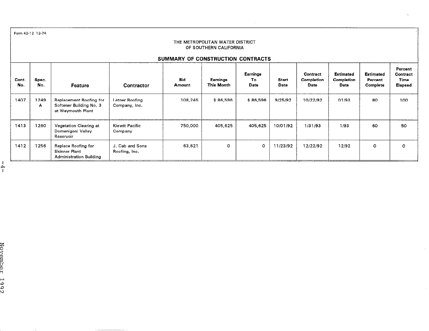|              | Form 42-12 12-74                                                                                                                                                                                                |                                                                         |                                 |                                   |                               |                         |                      |                                |                                        |                                                |                                        |
|--------------|-----------------------------------------------------------------------------------------------------------------------------------------------------------------------------------------------------------------|-------------------------------------------------------------------------|---------------------------------|-----------------------------------|-------------------------------|-------------------------|----------------------|--------------------------------|----------------------------------------|------------------------------------------------|----------------------------------------|
|              | THE METROPOLITAN WATER DISTRICT<br>OF SOUTHERN CALIFORNIA                                                                                                                                                       |                                                                         |                                 |                                   |                               |                         |                      |                                |                                        |                                                |                                        |
|              |                                                                                                                                                                                                                 |                                                                         |                                 | SUMMARY OF CONSTRUCTION CONTRACTS |                               |                         |                      |                                |                                        |                                                |                                        |
| Cont.<br>No. | Spec.<br>No.                                                                                                                                                                                                    | Feature                                                                 | Contractor                      | <b>Bid</b><br>Amount              | Earnings<br><b>This Month</b> | Earnings<br>To.<br>Date | <b>Start</b><br>Date | Contract<br>Completion<br>Date | <b>Estimated</b><br>Completion<br>Date | <b>Estimated</b><br>Percent<br><b>Complete</b> | Percent<br>Contract<br>Time<br>Elapsed |
| 1407         | 1249<br>A                                                                                                                                                                                                       | Replacement Roofing for<br>Softener Building No. 3<br>at Weymouth Plant | Letner Roofing<br>Company, Inc. | 108,245                           | \$86,596                      | \$86,596                | 9/25/92              | 10/22/92                       | 01/93                                  | 80                                             | 100                                    |
| 1413         | 1260                                                                                                                                                                                                            | <b>Vegetation Clearing at</b><br>Domenigoni Valley<br>Reservoir         | Kiewit Pacific<br>Company       | 750,000                           | 405,625                       | 405,625                 | 10/01/92             | 1/31/93                        | 1/93                                   | 60                                             | 50                                     |
| 1412         | 1256<br>63,621<br>0<br>11/23/92<br>12/92<br>Replace Roofing for<br>J. Cab and Sons<br>$\circ$<br>12/22/92<br>$\mathbf{o}$<br>$\circ$<br><b>Skinner Plant</b><br>Roofing, Inc.<br><b>Administration Building</b> |                                                                         |                                 |                                   |                               |                         |                      |                                |                                        |                                                |                                        |
|              |                                                                                                                                                                                                                 |                                                                         |                                 |                                   |                               |                         |                      |                                |                                        |                                                |                                        |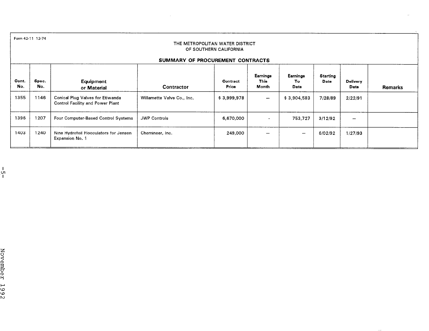|              | Form 42-11 12-74<br>THE METROPOLITAN WATER DISTRICT<br>OF SOUTHERN CALIFORNIA |                                                                      |                                  |                   |                           |                         |                  |                         |                |
|--------------|-------------------------------------------------------------------------------|----------------------------------------------------------------------|----------------------------------|-------------------|---------------------------|-------------------------|------------------|-------------------------|----------------|
|              |                                                                               |                                                                      | SUMMARY OF PROCUREMENT CONTRACTS |                   |                           |                         |                  |                         |                |
| Cont.<br>No. | Spec.<br>No.                                                                  | Equipment<br>or Material                                             | Contractor                       | Contract<br>Price | Earnings<br>This<br>Month | Earnings<br>To.<br>Date | Starting<br>Date | <b>Delivery</b><br>Date | <b>Remarks</b> |
| 1355         | 1146                                                                          | Conical Plug Valves for Etiwanda<br>Control Facility and Power Plant | Willamette Valve Co., Inc.       | \$3,999,978       | $\overline{\phantom{m}}$  | \$3,904,583             | 7/28/89          | 2/22/91                 |                |
| 1396         | 1207                                                                          | Four Computer-Based Control Systems                                  | <b>JWP Controls</b>              | 6,670,000         | $\blacksquare$            | 753,727                 | 3/12/92          |                         |                |
| 1403         | 1240                                                                          | Nine Hydrofoil Flocculators for Jensen<br>Expansion No. 1            | Chemineer, Inc.                  | 249,000           |                           | —                       | 6/02/92          | 1/27/93                 |                |

 $\sim$ 

ا<br>ا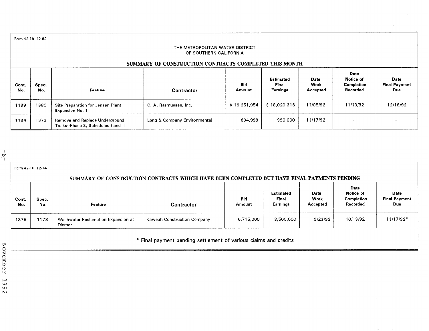Form 42-18 12-82

#### THE METROPOLITAN WATER DISTRICT OF SOUTHERN CALIFORNIA

## SUMMARY OF CONSTRUCTION CONTRACTS COMPLETED THIS MONTH

| Cont.<br>No. | Spec.<br>No. | Feature                                                              | <b>Contractor</b>            | <b>Bid</b><br><b>Amount</b> | <b>Estimated</b><br>Final<br>Earnings | Date<br>Work<br>Accepted | Date<br>Notice of<br>Completion<br>Recorded | Date<br><b>Final Payment</b><br>Due |
|--------------|--------------|----------------------------------------------------------------------|------------------------------|-----------------------------|---------------------------------------|--------------------------|---------------------------------------------|-------------------------------------|
| 1199         | 1380         | Site Preparation for Jensen Plant<br>Expansion No. 1                 | C. A. Rasmussen, Inc.        | \$16,251,954                | \$18,020.316                          | 11/05/92                 | 11/13/92                                    | 12/18/92                            |
| 1194         | 1373         | Remove and Replace Underground<br>Tanks--Phase 3, Schedules I and II | Long & Company Environmental | 634,999                     | 990.000                               | 11/17/92                 |                                             |                                     |

| Form 42-10 12-74 |              |                                              | SUMMARY OF CONSTRUCTION CONTRACTS WHICH HAVE BEEN COMPLETED BUT HAVE FINAL PAYMENTS PENDING |               |                                       |                          |                                             |                                     |
|------------------|--------------|----------------------------------------------|---------------------------------------------------------------------------------------------|---------------|---------------------------------------|--------------------------|---------------------------------------------|-------------------------------------|
| Cont.<br>No.     | Spec.<br>No. | Feature                                      | <b>Contractor</b>                                                                           | Bid<br>Amount | <b>Estimated</b><br>Final<br>Earnings | Date<br>Work<br>Accepted | Date<br>Notice of<br>Completion<br>Recorded | Date<br><b>Final Payment</b><br>Due |
| 1375             | 1178         | Washwater Reclamation Expansion at<br>Diemer | Kaweah Construction Company                                                                 | 6,715,000     | 8,500,000                             | 9/23/92                  | 10/13/92                                    | 11/17/92*                           |

\* Final payment pending settlement of various claims and credits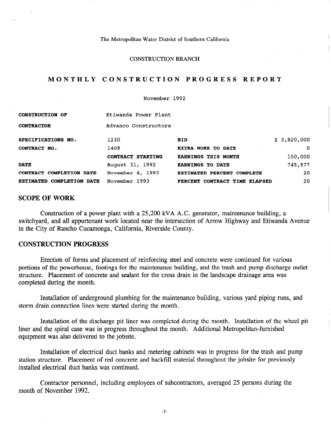#### CONSTRUCTION BRANCH

## MONTHLY CONSTRUCTION PROGRESS REPORT

November 1992

| <b>CONSTRUCTION OF</b>                        | Etiwanda Power Plant |                               |             |
|-----------------------------------------------|----------------------|-------------------------------|-------------|
| <b>CONTRACTOR</b>                             | Advanco Constructors |                               |             |
| SPECIFICATIONS NO.                            | 1230                 | <b>BID</b>                    | \$3,820,000 |
| CONTRACT NO.                                  | 1408                 | EXTRA WORK TO DATE            | $\circ$     |
|                                               | CONTRACT STARTING    | <b>EARNINGS THIS MONTH</b>    | 150,000     |
| <b>DATE</b>                                   | August 31, 1992      | <b>EARNINGS TO DATE</b>       | 745,577     |
| CONTRACT COMPLETION DATE                      | November 4, 1993     | ESTIMATED PERCENT COMPLETE    | 20          |
| <b>COMPLETION</b><br><b>ESTIMATED</b><br>DATE | November 1993        | PERCENT CONTRACT TIME ELAPSED | 20          |

## SCOPE OF WORK

Construction of a power plant with a 25,200 kVA A.C. generator, maintenance building, a switchyard, and all appurtenant work located near the intersection of Arrow Highway and Etiwanda Avenue in the City of Rancho Cucamonga, California, Riverside County.

# CONSTRUCTION PROGRESS

Erection of forms and placement of reinforcing steel and concrete were continued for various portions of the powerhouse, footings for the maintenance building, and the trash and pump discharge outlet structure. Placement of concrete and sealant for the cross drain in the landscape drainage area was completed during the month.

Installation of underground plumbing for the maintenance building, various yard piping runs, and storm drain connection lines were started during the month.

Installation of the discharge pit liner was completed during the month. Installation of the wheel pit liner and the spiral case was in progress throughout the month. Additional Metropolitan-furnished equipment was also delivered to the jobsite.

Installation of electrical duct banks and metering cabinets was in progress for the trash and pump station structure. Placement of red concrete and backfill material throughout the jobsite for previously installed electrical duct banks was continued.

Contractor personnel, including employees of subcontractors, averaged 25 persons during the month of November 1992.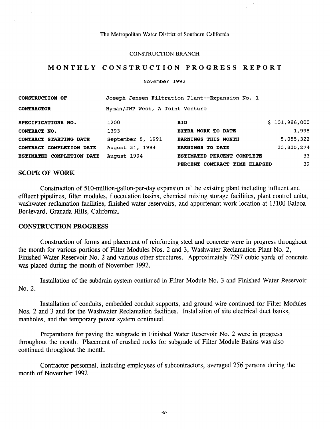#### CONSTRUCTION BRANCH

## MONTHLY CONSTRUCTION PROGRESS REPORT

November 1992

| <b>CONSTRUCTION OF</b>           | Joseph Jensen Filtration Plant--Expansion No. 1 |                               |               |  |  |  |
|----------------------------------|-------------------------------------------------|-------------------------------|---------------|--|--|--|
| <b>CONTRACTOR</b>                | Hyman/JWP West, A Joint Venture                 |                               |               |  |  |  |
| SPECIFICATIONS NO.               | 1200                                            | <b>BID</b>                    | \$101,986,000 |  |  |  |
| CONTRACT NO.                     | 1393                                            | EXTRA WORK TO DATE            | 1,998         |  |  |  |
| CONTRACT STARTING DATE           | September 5, 1991                               | <b>EARNINGS THIS MONTH</b>    | 5,055,322     |  |  |  |
| CONTRACT COMPLETION DATE         | August 31, 1994                                 | <b>EARNINGS TO DATE</b>       | 33,835,274    |  |  |  |
| <b>ESTIMATED COMPLETION DATE</b> | August 1994                                     | ESTIMATED PERCENT COMPLETE    | 33            |  |  |  |
|                                  |                                                 | PERCENT CONTRACT TIME ELAPSED | 39            |  |  |  |

## SCOPE OF WORK

Construction of 510-million-gallon-per-day expansion of the existing plant including influent and effluent pipelines, filter modules, flocculation basins, chemical mixing storage facilities, plant control units, washwater reclamation facilities, finished water reservoirs, and appurtenant work location at 13100 Balboa Boulevard, Granada Hills, California.

## CONSTRUCTION PROGRESS

Construction of forms and placement of reinforcing steel and concrete were in progress throughout the month for various portions of Filter Modules Nos. 2 and 3, Washwater Reclamation Plant No. 2, Finished Water Reservoir No. 2 and various other structures. Approximately 7297 cubic yards of concrete was placed during the month of November 1992.

Installation of the subdrain system continued in Filter Module No. 3 and Finished Water Reservoir No. 2.

Installation of conduits, embedded conduit supports, and ground wire continued for Filter Modules Nos. 2 and 3 and for the Washwater Reclamation facilities. Installation of site electrical duct banks, manholes, and the temporary power system continued.

Preparations for paving the subgrade in Finished Water Reservoir No. 2 were in progress throughout the month. Placement of crushed rocks for subgrade of Filter Module Basins was also continued throughout the month.

Contractor personnel, including employees of subcontractors, averaged 256 persons during the month of November 1992.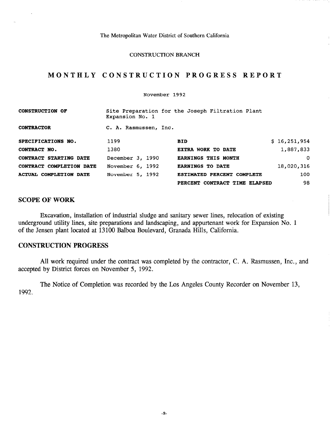### CONSTRUCTION BRANCH

# MONTHLY CONSTRUCTION PROGRESS REPO

#### November 1992

| <b>CONSTRUCTION OF</b>        | Expansion No. 1       | Site Preparation for the Joseph Filtration Plant |              |
|-------------------------------|-----------------------|--------------------------------------------------|--------------|
| <b>CONTRACTOR</b>             | C. A. Rasmussen, Inc. |                                                  |              |
| SPECIFICATIONS NO.            | 1199                  | <b>BID</b>                                       | \$16,251,954 |
| CONTRACT NO.                  | 1380                  | EXTRA WORK TO DATE                               | 1,887,833    |
| CONTRACT STARTING DATE        | December 3, 1990      | <b>EARNINGS THIS MONTH</b>                       | $\Omega$     |
| CONTRACT COMPLETION DATE      | November 6, 1992      | <b>EARNINGS TO DATE</b>                          | 18,020,316   |
| <b>ACTUAL COMPLETION DATE</b> | November 5, 1992      | ESTIMATED PERCENT COMPLETE                       | 100          |
|                               |                       | PERCENT CONTRACT TIME ELAPSED                    | 98           |

# SCOPE OF WORK

 $\alpha_{\rm A}$ 

Excavation, installation of industrial sludge and sanitary sewer lines, relocation of existing underground utility lines, site preparations and landscaping, and appurtenant work for Expansion No. 1 of the Jensen plant located at 13100 Balboa Boulevard, Granada Hills, California.

## CONSTRUCTION PROGRESS

All work required under the contract was completed by the contractor, C. A. Rasmussen, Inc., and accepted by District forces on November 5, 1992.

The Notice of Completion was recorded by the Los Angeles County Recorder on November 13, 1992.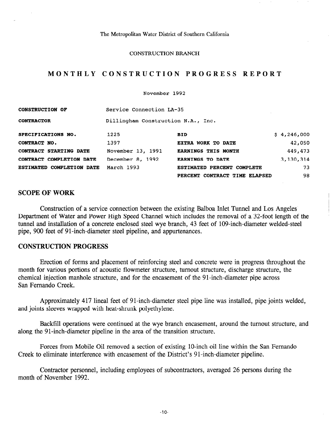### CONSTRUCTION BRANCH

# MONTHLY CONSTRUCTION PROGRESS REPORT

November 1992

| <b>CONSTRUCTION OF</b>           | Service Connection LA-35           |                               |             |  |  |  |
|----------------------------------|------------------------------------|-------------------------------|-------------|--|--|--|
| <b>CONTRACTOR</b>                | Dillingham Construction N.A., Inc. |                               |             |  |  |  |
| SPECIFICATIONS NO.               | 1225                               | <b>BID</b>                    | \$4,246,000 |  |  |  |
| CONTRACT NO.                     | 1397                               | EXTRA WORK TO DATE            | 42,050      |  |  |  |
| CONTRACT STARTING DATE           | November 13, 1991                  | <b>EARNINGS THIS MONTH</b>    | 449,473     |  |  |  |
| CONTRACT COMPLETION DATE         | December 8, 1992                   | <b>EARNINGS TO DATE</b>       | 3,130,314   |  |  |  |
| <b>ESTIMATED COMPLETION DATE</b> | March 1993                         | ESTIMATED PERCENT COMPLETE    | 73          |  |  |  |
|                                  |                                    | PERCENT CONTRACT TIME ELAPSED | 98          |  |  |  |

# SCOPE OF WORK

Construction of a service connection between the existing Balboa Inlet Tunnel and Los Angeles Department of Water and Power High Speed Channel which includes the removal of a 32-foot length of the tunnel and installation of a concrete enclosed steel wye branch, 43 feet of 109-inch-diameter welded-steel pipe, 900 feet of 91-inch-diameter steel pipeline, and appurtenances.

## CONSTRUCTION PROGRESS

Erection of forms and placement of reinforcing steel and concrete were in progress throughout the month for various portions of acoustic flowmeter structure, turnout structure, discharge structure, the chemical injection manhole structure, and for the encasement of the 91-inch-diameter pipe across San Fernando Creek.

Approximately 417 lineal feet of 91-inch-diameter steel pipe line was installed, pipe joints welded, and joints sleeves wrapped with heat-shrunk polyethylene.

Backfill operations were continued at the wye branch encasement, around the turnout structure, and along the 91-inch-diameter pipeline in the area of the transition structure.

Forces from Mobile Oil removed a section of existing 10-inch oil line within the San Fernando Creek to eliminate interference with encasement of the District's 91-inch-diameter pipeline.

Contractor personnel, including employees of subcontractors, averaged 26 persons during the month of November 1992.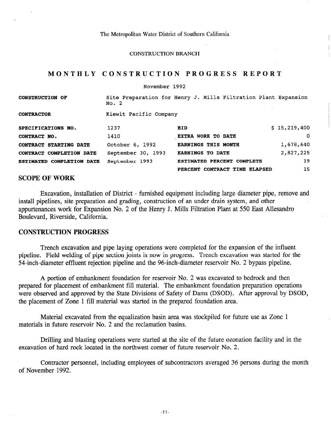CONSTRUCTION BRANCH

# MONTHLY CONSTRUCTION PROGRESS REPORT

|                                  | November 1992          |                                                                |              |
|----------------------------------|------------------------|----------------------------------------------------------------|--------------|
| <b>CONSTRUCTION OF</b>           | No. 2                  | Site Preparation for Henry J. Mills Filtration Plant Expansion |              |
| <b>CONTRACTOR</b>                | Kiewit Pacific Company |                                                                |              |
| SPECIFICATIONS NO.               | 1237                   | <b>BID</b>                                                     | \$15,219,400 |
| CONTRACT NO.                     | 1410                   | EXTRA WORK TO DATE                                             | $\Omega$     |
| CONTRACT STARTING DATE           | October 6, 1992        | <b>EARNINGS THIS MONTH</b>                                     | 1,678,640    |
| CONTRACT COMPLETION DATE         | September 30, 1993     | <b>EARNINGS TO DATE</b>                                        | 2,827,225    |
| <b>ESTIMATED COMPLETION DATE</b> | September 1993         | ESTIMATED PERCENT COMPLETE                                     | 19           |
|                                  |                        | PERCENT CONTRACT TIME ELAPSED                                  | 15           |

## SCOPE OF WORK

Excavation, installation of District - furnished equipment including large diameter pipe, remove and install pipelines, site preparation and grading, construction of an under drain system, and other appurtenances work for Expansion No. 2 of the Henry J. Mills Filtration Plant at 550 East Allesandro Boulevard, Riverside, California.

# CONSTRUCTION PROGRESS

Trench excavation and pipe laying operations were completed for the expansion of the influent pipeline. Field welding of pipe section joints is now in progress. Trench excavation was started for the 54-inch-diameter effluent rejection pipeline and the 96-inch-diameter reservoir No. 2 bypass pipeline.

A portion of embankment foundation for reservoir No. 2 was excavated to bedrock and then prepared for placement of embankment fill material. The embankment foundation preparation operations were observed and approved by the State Divisions of Safety of Dams (DSOD). After approval by DSOD, the placement of Zone 1 fill material was started in the prepared foundation area.

Material excavated from the equalization basin area was stockpiled for future use as Zone 1 materials in future reservoir No. 2 and the reclamation basins.

Drilling and blasting operations were started at the site of the future ozonation facility and in the excavation of hard rock located in the northwest corner of future reservoir No. 2.

Contractor personnel, including employees of subcontractors averaged 36 persons during the month of November 1992.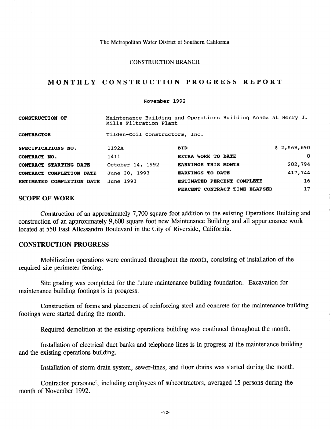#### CONSTRUCTION BRANCH

## MONTHLY CONSTRUCTION PROGRESS REPORT

#### November 1992

| <b>CONSTRUCTION OF</b>           | Mills Filtration Plant         | Maintenance Building and Operations Building Annex at Henry J. |             |
|----------------------------------|--------------------------------|----------------------------------------------------------------|-------------|
| <b>CONTRACTOR</b>                | Tilden-Coil Constructors, Inc. |                                                                |             |
| SPECIFICATIONS NO.               | 1192A                          | <b>BID</b>                                                     | \$2,569,690 |
| CONTRACT NO.                     | 1411                           | EXTRA WORK TO DATE                                             | $\Omega$    |
| CONTRACT STARTING DATE           | October 14, 1992               | <b>EARNINGS THIS MONTH</b>                                     | 202,794     |
| CONTRACT COMPLETION DATE         | June 30, 1993                  | <b>EARNINGS TO DATE</b>                                        | 417,744     |
| <b>ESTIMATED COMPLETION DATE</b> | June 1993                      | ESTIMATED PERCENT COMPLETE                                     | 16          |
|                                  |                                | PERCENT CONTRACT TIME ELAPSED                                  | 17          |

# SCOPE OF WORK

Construction of an approximately 7,700 square foot addition to the existing Operations Building and construction of an approximately 9,600 square foot new Maintenance Building and all appurtenance work located at 550 East Allessandro Boulevard in the City of Riverside, California.

# CONSTRUCTION PROGRESS

Mobilization operations were continued throughout the month, consisting of installation of the required site perimeter fencing.

Site grading was completed for the future maintenance building foundation. Excavation for maintenance building footings is in progress.

Construction of forms and placement of reinforcing steel and concrete for the maintenance building footings were started during the month.

Required demolition at the existing operations building was continued throughout the month.

Installation of electrical duct banks and telephone lines is in progress at the maintenance building and the existing operations building.

Installation of storm drain system, sewer-lines, and floor drains was started during the month.

Contractor personnel, including employees of subcontractors, averaged 15 persons during the month of November 1992.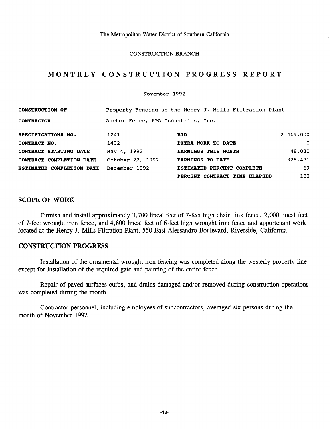#### CONSTRUCTION BRANCH

# MONTHLY CONSTRUCTION PROGRESS REPORT

November 1992

| <b>CONSTRUCTION OF</b>           |                                    | Property Fencing at the Henry J. Mills Filtration Plant |           |
|----------------------------------|------------------------------------|---------------------------------------------------------|-----------|
| <b>CONTRACTOR</b>                | Anchor Fence, PPA Industries, Inc. |                                                         |           |
| SPECIFICATIONS NO.               | 1241                               | <b>BID</b>                                              | \$469,000 |
| CONTRACT NO.                     | 1402                               | EXTRA WORK TO DATE                                      | $\Omega$  |
| CONTRACT STARTING DATE           | May 4, 1992                        | <b>EARNINGS THIS MONTH</b>                              | 48,030    |
| CONTRACT COMPLETION DATE         | October 22, 1992                   | <b>EARNINGS TO DATE</b>                                 | 325,471   |
| <b>ESTIMATED COMPLETION DATE</b> | December 1992                      | ESTIMATED PERCENT COMPLETE                              | 69        |
|                                  |                                    | PERCENT CONTRACT TIME ELAPSED                           | $-100$    |

### SCOPE OF WORK

Furnish and install approximately 3,700 lineal feet of 7-feet high chain link fence, 2,000 lineal feet of 7-feet wrought iron fence, and 4,800 lineal feet of 6-feet high wrought iron fence and appurtenant work located at the Henry J. Mills Filtration Plant, 550 East Alessandro Boulevard, Riverside, California.

## CONSTRUCTION PROGRESS

Installation of the ornamental wrought iron fencing was completed along the westerly property line except for installation of the required gate and painting of the entire fence.

Repair of paved surfaces curbs, and drains damaged and/or removed during construction operations was completed during the month.

Contractor personnel, including employees of subcontractors, averaged six persons during the month of November 1992.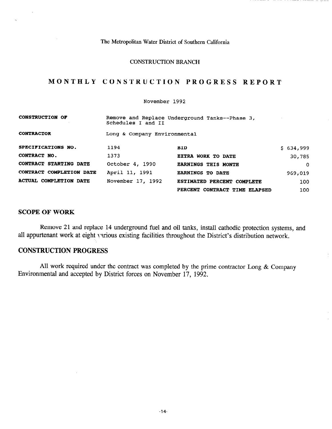### CONSTRUCTION BRANCH

# MONTHLY CONSTRUCTION PROGRESS REPORT

### November 1992

| <b>CONSTRUCTION OF</b>        | Schedules I and II           | Remove and Replace Underground Tanks--Phase 3, |           |
|-------------------------------|------------------------------|------------------------------------------------|-----------|
| <b>CONTRACTOR</b>             | Long & Company Environmental |                                                |           |
| SPECIFICATIONS NO.            | 1194                         | <b>BID</b>                                     | \$634,999 |
| CONTRACT NO.                  | 1373                         | <b>EXTRA WORK TO DATE</b>                      | 30,785    |
| <b>CONTRACT STARTING DATE</b> | October 4, 1990              | <b>EARNINGS THIS MONTH</b>                     | $\Omega$  |
| CONTRACT COMPLETION DATE      | April 11, 1991               | <b>EARNINGS TO DATE</b>                        | 969,019   |
| <b>ACTUAL COMPLETION DATE</b> | November 17, 1992            | ESTIMATED PERCENT COMPLETE                     | 100       |
|                               |                              | PERCENT CONTRACT TIME ELAPSED                  | 100       |

## SCOPE OF WORK

 $\hat{\mathbf{e}}_i$ 

Remove 21 and replace 14 underground fuel and oil tanks, install cathodic protection systems, and all appurtenant work at eight various existing facilities throughout the District's distribution network.

# CONSTRUCTION PROGRESS

All work required under the contract was completed by the prime contractor Long  $&$  Company Environmental and accepted by District forces on November 17, 1992.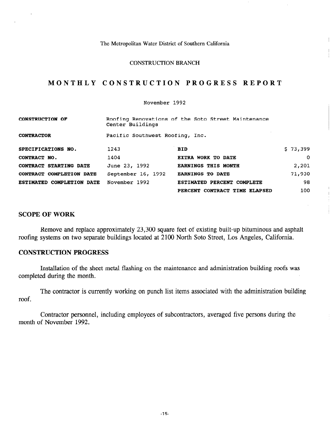#### CONSTRUCTION BRANCH

# MONTHLY CONSTRUCTION PROGRESS REPORT

November 1992

| <b>CONSTRUCTION OF</b>        | Center Buildings                | Roofing Renovations of the Soto Street Maintenance |          |
|-------------------------------|---------------------------------|----------------------------------------------------|----------|
| <b>CONTRACTOR</b>             | Pacific Southwest Roofing, Inc. |                                                    |          |
| SPECIFICATIONS NO.            | 1243                            | <b>BID</b>                                         | \$73,399 |
| CONTRACT NO.                  | 1404                            | EXTRA WORK TO DATE                                 | 0        |
| <b>CONTRACT STARTING DATE</b> | June 23, 1992                   | <b>EARNINGS THIS MONTH</b>                         | 2,201    |
| CONTRACT COMPLETION DATE      | September 16, 1992              | <b>EARNINGS TO DATE</b>                            | 71,930   |
| ESTIMATED COMPLETION DATE     | November 1992                   | ESTIMATED PERCENT COMPLETE                         | 98       |
|                               |                                 | PERCENT CONTRACT TIME ELAPSED                      | 100.     |

## SCOPE OF WORK

Remove and replace approximately 23,300 square feet of existing built-up bituminous and asphalt roofing systems on two separate buildings located at 2100 North Soto Street, Los Angeles, California.

## CONSTRUCTION PROGRESS

Installation of the sheet metal flashing on the maintenance and administration building roofs was completed during the month.

The contractor is currently working on punch list items associated with the administration building roof.

Contractor personnel, including employees of subcontractors, averaged five persons during the month of November 1992.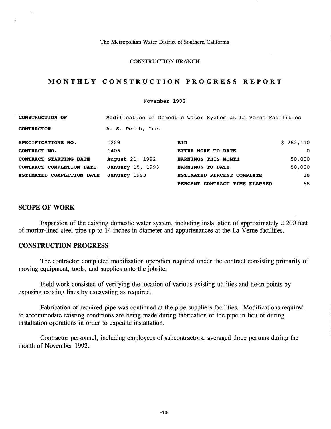#### CONSTRUCTION BRANCH

# MONTHLY CONSTRUCTION PROGRESS REPORT

#### November 1992

| <b>CONSTRUCTION OF</b>    |                   | Modification of Domestic Water System at La Verne Facilities |           |
|---------------------------|-------------------|--------------------------------------------------------------|-----------|
| <b>CONTRACTOR</b>         | A. S. Peich, Inc. |                                                              |           |
| SPECIFICATIONS NO.        | 1229              | <b>BID</b>                                                   | \$283,110 |
| CONTRACT NO.              | 1405              | EXTRA WORK TO DATE                                           | $\Omega$  |
| CONTRACT STARTING DATE    | August 21, 1992   | <b>EARNINGS THIS MONTH</b>                                   | 50,000    |
| CONTRACT COMPLETION DATE  | January 15, 1993  | <b>EARNINGS TO DATE</b>                                      | 50,000    |
| ESTIMATED COMPLETION DATE | January 1993      | ESTIMATED PERCENT COMPLETE                                   | 18        |
|                           |                   | PERCENT CONTRACT TIME ELAPSED                                | 68        |

# SCOPE OF WORK

Expansion of the existing domestic water system, including installation of approximately 2,200 feet of mortar-lined steel pipe up to 14 inches in diameter and appurtenances at the La Verne facilities.

## CONSTRUCTION PROGRESS

The contractor completed mobilization operation required under the contract consisting primarily of moving equipment, tools, and supplies onto the jobsite.

Field work consisted of verifying the location of various existing utilities and tie-in points by exposing existing lines by excavating as required.

Fabrication of required pipe was continued at the pipe suppliers facilities. Modifications required to accommodate existing conditions are being made during fabrication of the pipe in lieu of during installation operations in order to expedite installation.

Contractor personnel, including employees of subcontractors, averaged three persons during the month of November 1992.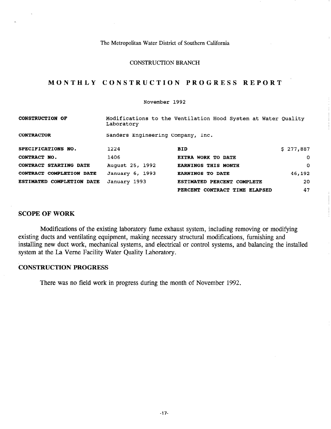#### CONSTRUCTION BRANCH

# MONTHLY CONSTRUCTION PROGRESS REPORT

#### November 1992

| <b>CONSTRUCTION OF</b>           | Laboratory                        | Modifications to the Ventilation Hood System at Water Quality |           |
|----------------------------------|-----------------------------------|---------------------------------------------------------------|-----------|
| <b>CONTRACTOR</b>                | Sanders Engineering Company, Inc. |                                                               |           |
| SPECIFICATIONS NO.               | 1224                              | <b>BID</b>                                                    | \$277,887 |
| CONTRACT NO.                     | 1406                              | <b>EXTRA WORK TO DATE</b>                                     | 0         |
| CONTRACT STARTING DATE           | August 25, 1992                   | <b>EARNINGS THIS MONTH</b>                                    | $\Omega$  |
| CONTRACT COMPLETION DATE         | January 6, 1993                   | <b>EARNINGS TO DATE</b>                                       | 46,192    |
| <b>ESTIMATED COMPLETION DATE</b> | January 1993                      | ESTIMATED PERCENT COMPLETE                                    | 20        |
|                                  |                                   | PERCENT CONTRACT TIME ELAPSED                                 | 47        |

## SCOPE OF WORK

Modifications of the existing laboratory fume exhaust system, including removing or modifying existing ducts and ventilating equipment, making necessary structural modifications, furnishing and installing new duct work, mechanical systems, and electrical or control systems, and balancing the installed system at the La Verne Facility Water Quality Laboratory.

### CONSTRUCTION PROGRESS

There was no field work in progress during the month of November 1992.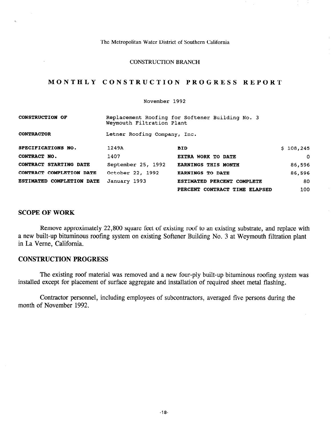### CONSTRUCTION BRANCH

# MONTHLY CONSTRUCTION PROGRESS REPORT

### November 1992

| <b>CONSTRUCTION OF</b>    | Weymouth Filtration Plant    | Replacement Roofing for Softener Building No. 3 |           |
|---------------------------|------------------------------|-------------------------------------------------|-----------|
| <b>CONTRACTOR</b>         | Letner Roofing Company, Inc. |                                                 |           |
| SPECIFICATIONS NO.        | 1249A                        | <b>BID</b>                                      | \$108,245 |
| CONTRACT NO.              | 1407                         | EXTRA WORK TO DATE                              | 0         |
| CONTRACT STARTING DATE    | September 25, 1992           | <b>EARNINGS THIS MONTH</b>                      | 86,596    |
| CONTRACT COMPLETION DATE  | October 22, 1992             | <b>EARNINGS TO DATE</b>                         | 86,596    |
| ESTIMATED COMPLETION DATE | January 1993                 | ESTIMATED PERCENT COMPLETE                      | 80        |
|                           |                              | PERCENT CONTRACT TIME ELAPSED                   | 100       |

## SCOPE OF WORK

 $\mathbf{r}$ 

Remove approximately 22,800 square feet of existing roof to an existing substrate, and replace with a new built-up bituminous roofing system on existing Softener Building No. 3 at Weymouth filtration plant in La Verne, California.

# CONSTRUCTION PROGRESS

The existing roof material was removed and a new four-ply built-up bituminous roofing system was installed except for placement of surface aggregate and installation of required sheet metal flashing.

Contractor personnel, including employees of subcontractors, averaged five persons during the month of November 1992.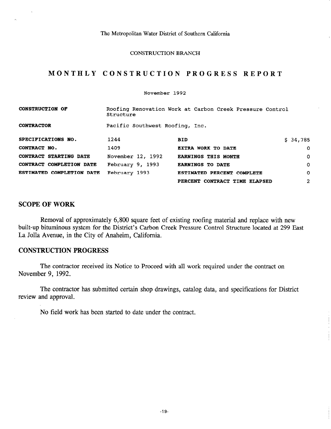#### CONSTRUCTION BRANCH

# MONTHLY CONSTRUCTION PROGRESS REPORT

November 1992

| <b>CONSTRUCTION OF</b>    | Structure                       | Roofing Renovation Work at Carbon Creek Pressure Control |              |
|---------------------------|---------------------------------|----------------------------------------------------------|--------------|
| <b>CONTRACTOR</b>         | Pacific Southwest Roofing, Inc. |                                                          |              |
| SPECIFICATIONS NO.        | 1244                            | <b>BID</b>                                               | \$34,785     |
| CONTRACT NO.              | 1409                            | EXTRA WORK TO DATE                                       | 0            |
| CONTRACT STARTING DATE    | November 12, 1992               | <b>EARNINGS THIS MONTH</b>                               | 0            |
| CONTRACT COMPLETION DATE  | February 9, 1993                | <b>EARNINGS TO DATE</b>                                  | $\Omega$     |
| ESTIMATED COMPLETION DATE | February 1993                   | <b>ESTIMATED PERCENT COMPLETE</b>                        | $\Omega$     |
|                           |                                 | PERCENT CONTRACT TIME ELAPSED                            | $\mathbf{2}$ |

## SCOPE OF WORK

Removal of approximately 6,800 square feet of existing roofing material and replace with new built-up bituminous system for the District's Carbon Creek Pressure Control Structure located at 299 East La Jolla Avenue, in the City of Anaheim, California.

# CONSTRUCTION PROGRESS

The contractor received its Notice to Proceed with all work required under the contract on November 9, 1992.

The contractor has submitted certain shop drawings, catalog data, and specifications for District review and approval.

No field work has been started to date under the contract.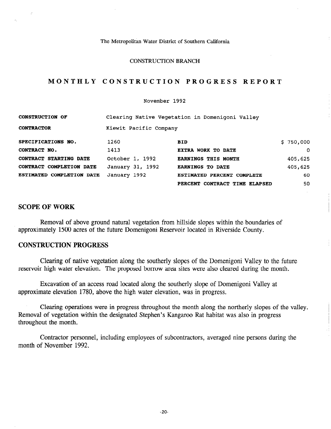## CONSTRUCTION BRANCH

# MONTHLY CONSTRUCTION PROGRESS REPORT

#### November 1992

| <b>CONSTRUCTION OF</b>           |                        | Clearing Native Vegetation in Domenigoni Valley |           |
|----------------------------------|------------------------|-------------------------------------------------|-----------|
| <b>CONTRACTOR</b>                | Kiewit Pacific Company |                                                 |           |
| SPECIFICATIONS NO.               | 1260                   | <b>BID</b>                                      | \$750,000 |
| CONTRACT NO.                     | 1413                   | EXTRA WORK TO DATE                              | O         |
| CONTRACT STARTING DATE           | October 1, 1992        | <b>EARNINGS THIS MONTH</b>                      | 405,625   |
| <b>CONTRACT COMPLETION DATE</b>  | January 31, 1992       | <b>EARNINGS TO DATE</b>                         | 405,625   |
| <b>ESTIMATED COMPLETION DATE</b> | January 1992           | <b>ESTIMATED PERCENT COMPLETE</b>               | 60        |
|                                  |                        | PERCENT CONTRACT TIME ELAPSED                   | 50        |

## SCOPE OF WORK

Removal of above ground natural vegetation from hillside slopes within the boundaries of approximately 1500 acres of the future Domenigoni Reservoir located in Riverside County.

## CONSTRUCTION PROGRESS

Clearing of native vegetation along the southerly slopes of the Domenigoni Valley to the future reservoir high water elevation. The proposed borrow area sites were also cleared during the month.

Excavation of an access road located along the southerly slope of Domenigoni Valley at approximate elevation 1780, above the high water elevation, was in progress.

Clearing operations were in progress throughout the month along the northerly slopes of the valley. Removal of vegetation within the designated Stephen's Kangaroo Rat habitat was also in progress throughout the month.

Contractor personnel, including employees of subcontractors, averaged nine persons during the month of November 1992.